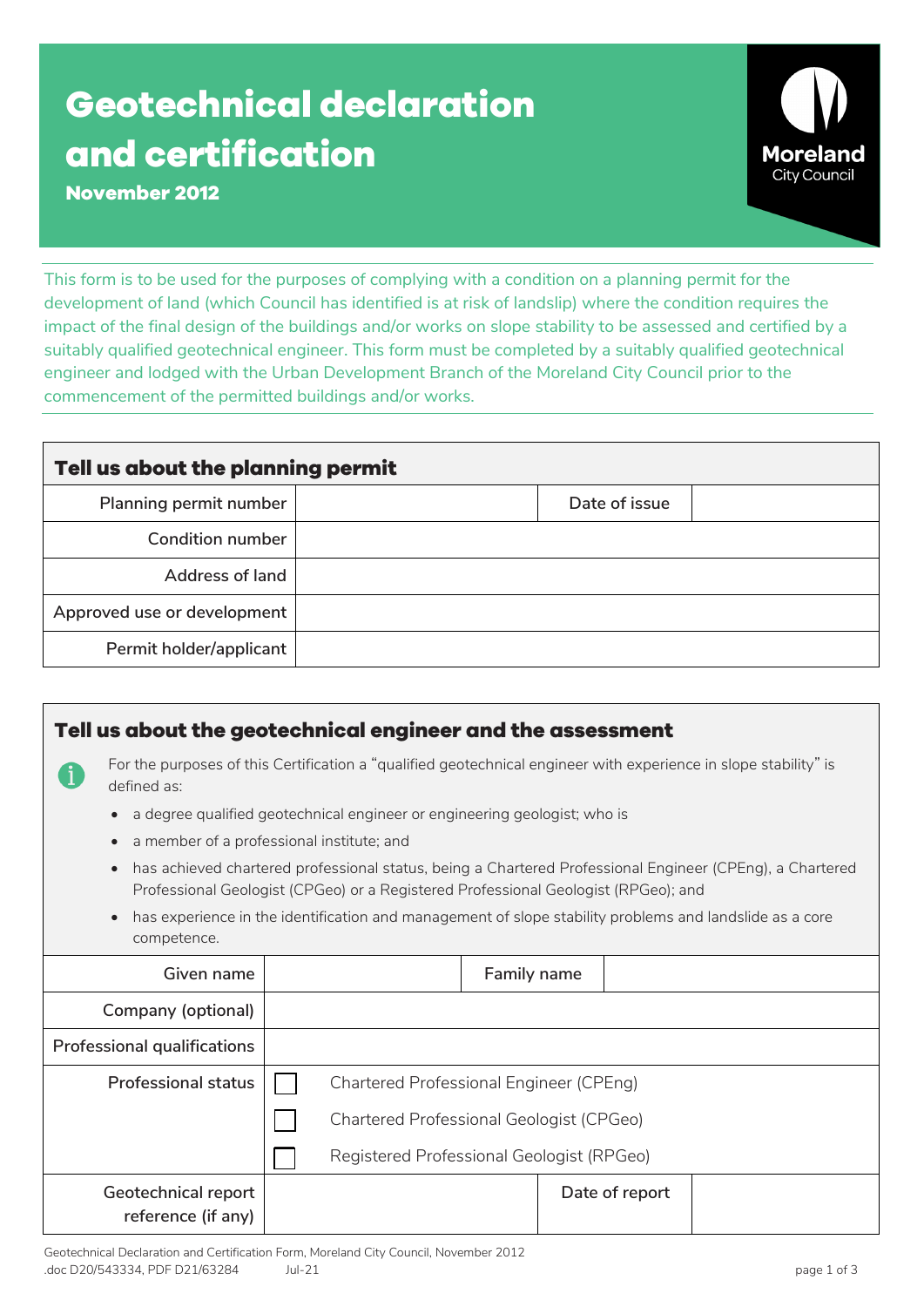## **Geotechnical declaration and certification**



**November 2012**

This form is to be used for the purposes of complying with a condition on a planning permit for the development of land (which Council has identified is at risk of landslip) where the condition requires the impact of the final design of the buildings and/or works on slope stability to be assessed and certified by a suitably qualified geotechnical engineer. This form must be completed by a suitably qualified geotechnical engineer and lodged with the Urban Development Branch of the Moreland City Council prior to the commencement of the permitted buildings and/or works.

| Tell us about the planning permit |               |  |  |  |  |
|-----------------------------------|---------------|--|--|--|--|
| Planning permit number            | Date of issue |  |  |  |  |
| Condition number                  |               |  |  |  |  |
| <b>Address of land</b>            |               |  |  |  |  |
| Approved use or development       |               |  |  |  |  |
| Permit holder/applicant           |               |  |  |  |  |

| Tell us about the geotechnical engineer and the assessment                                                                                                                                                  |                                                                                                                  |             |                |  |  |  |  |
|-------------------------------------------------------------------------------------------------------------------------------------------------------------------------------------------------------------|------------------------------------------------------------------------------------------------------------------|-------------|----------------|--|--|--|--|
| defined as:                                                                                                                                                                                                 | For the purposes of this Certification a "qualified geotechnical engineer with experience in slope stability" is |             |                |  |  |  |  |
|                                                                                                                                                                                                             | a degree qualified geotechnical engineer or engineering geologist; who is                                        |             |                |  |  |  |  |
|                                                                                                                                                                                                             | a member of a professional institute; and                                                                        |             |                |  |  |  |  |
| has achieved chartered professional status, being a Chartered Professional Engineer (CPEng), a Chartered<br>$\bullet$<br>Professional Geologist (CPGeo) or a Registered Professional Geologist (RPGeo); and |                                                                                                                  |             |                |  |  |  |  |
| has experience in the identification and management of slope stability problems and landslide as a core<br>competence.                                                                                      |                                                                                                                  |             |                |  |  |  |  |
| Given name                                                                                                                                                                                                  |                                                                                                                  | Family name |                |  |  |  |  |
| Company (optional)                                                                                                                                                                                          |                                                                                                                  |             |                |  |  |  |  |
| <b>Professional qualifications</b>                                                                                                                                                                          |                                                                                                                  |             |                |  |  |  |  |
| <b>Professional status</b>                                                                                                                                                                                  | <b>Chartered Professional Engineer (CPEng)</b>                                                                   |             |                |  |  |  |  |
|                                                                                                                                                                                                             | Chartered Professional Geologist (CPGeo)                                                                         |             |                |  |  |  |  |
|                                                                                                                                                                                                             | Registered Professional Geologist (RPGeo)                                                                        |             |                |  |  |  |  |
| Geotechnical report<br>reference (if any)                                                                                                                                                                   |                                                                                                                  |             | Date of report |  |  |  |  |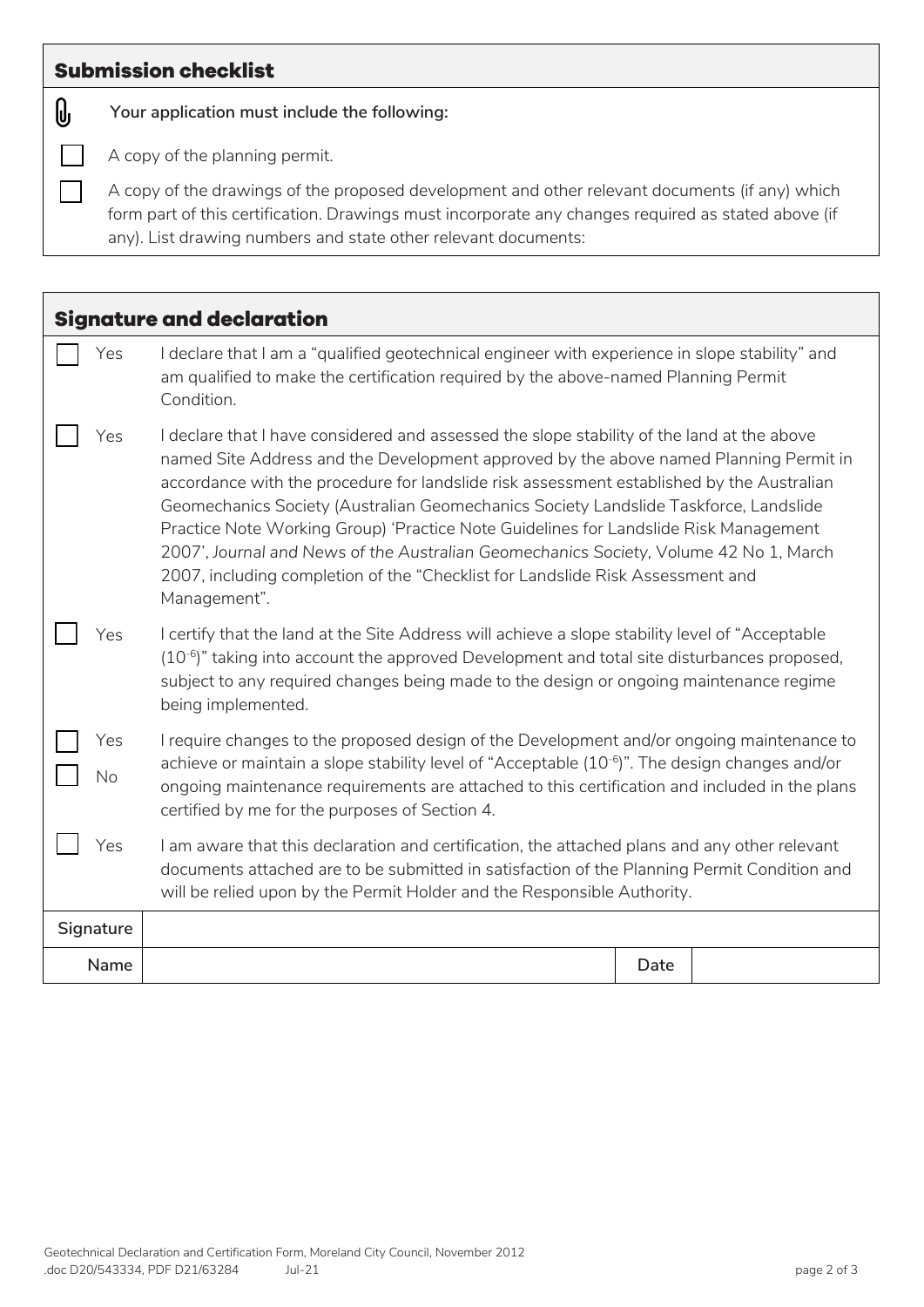## **Submission checklist**

0

 $\mathbf{L}$ 

**Your application must include the following:**

A copy of the planning permit.

A copy of the drawings of the proposed development and other relevant documents (if any) which form part of this certification. Drawings must incorporate any changes required as stated above (if any). List drawing numbers and state other relevant documents:

| <b>Signature and declaration</b> |                                                                                                                                                                                                                                                                                                                                                                                                                                                                                                                                                                                                                                                             |      |  |  |
|----------------------------------|-------------------------------------------------------------------------------------------------------------------------------------------------------------------------------------------------------------------------------------------------------------------------------------------------------------------------------------------------------------------------------------------------------------------------------------------------------------------------------------------------------------------------------------------------------------------------------------------------------------------------------------------------------------|------|--|--|
| Yes                              | I declare that I am a "qualified geotechnical engineer with experience in slope stability" and<br>am qualified to make the certification required by the above-named Planning Permit<br>Condition.                                                                                                                                                                                                                                                                                                                                                                                                                                                          |      |  |  |
| Yes                              | I declare that I have considered and assessed the slope stability of the land at the above<br>named Site Address and the Development approved by the above named Planning Permit in<br>accordance with the procedure for landslide risk assessment established by the Australian<br>Geomechanics Society (Australian Geomechanics Society Landslide Taskforce, Landslide<br>Practice Note Working Group) 'Practice Note Guidelines for Landslide Risk Management<br>2007', Journal and News of the Australian Geomechanics Society, Volume 42 No 1, March<br>2007, including completion of the "Checklist for Landslide Risk Assessment and<br>Management". |      |  |  |
| Yes                              | I certify that the land at the Site Address will achieve a slope stability level of "Acceptable<br>$(10^{-6})$ " taking into account the approved Development and total site disturbances proposed,<br>subject to any required changes being made to the design or ongoing maintenance regime<br>being implemented.                                                                                                                                                                                                                                                                                                                                         |      |  |  |
| Yes<br>No                        | I require changes to the proposed design of the Development and/or ongoing maintenance to<br>achieve or maintain a slope stability level of "Acceptable $(10^{-6})$ ". The design changes and/or<br>ongoing maintenance requirements are attached to this certification and included in the plans<br>certified by me for the purposes of Section 4.                                                                                                                                                                                                                                                                                                         |      |  |  |
| Yes                              | I am aware that this declaration and certification, the attached plans and any other relevant<br>documents attached are to be submitted in satisfaction of the Planning Permit Condition and<br>will be relied upon by the Permit Holder and the Responsible Authority.                                                                                                                                                                                                                                                                                                                                                                                     |      |  |  |
| Signature                        |                                                                                                                                                                                                                                                                                                                                                                                                                                                                                                                                                                                                                                                             |      |  |  |
| Name                             |                                                                                                                                                                                                                                                                                                                                                                                                                                                                                                                                                                                                                                                             | Date |  |  |